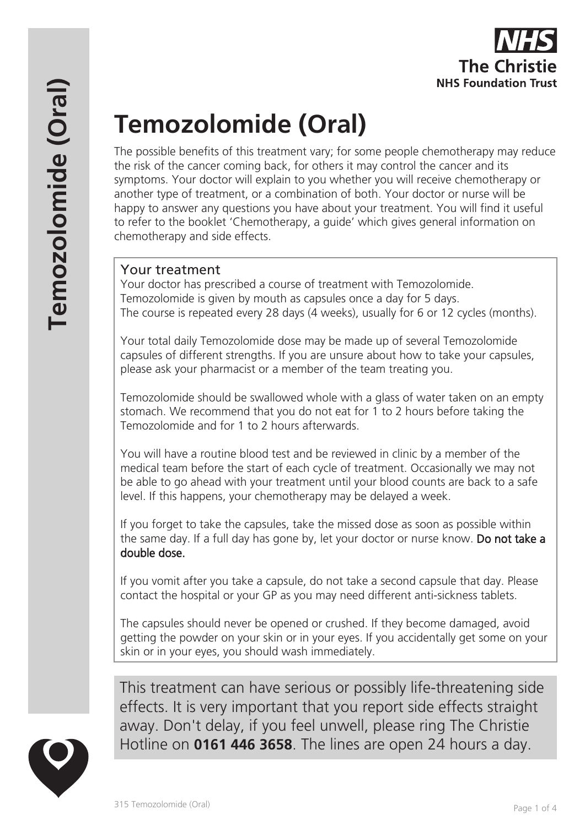# **Temozolomide (Oral)**

The possible benefits of this treatment vary; for some people chemotherapy may reduce the risk of the cancer coming back, for others it may control the cancer and its symptoms. Your doctor will explain to you whether you will receive chemotherapy or another type of treatment, or a combination of both. Your doctor or nurse will be happy to answer any questions you have about your treatment. You will find it useful to refer to the booklet 'Chemotherapy, a guide' which gives general information on chemotherapy and side effects.

# Your treatment

Your doctor has prescribed a course of treatment with Temozolomide. Temozolomide is given by mouth as capsules once a day for 5 days. The course is repeated every 28 days (4 weeks), usually for 6 or 12 cycles (months).

Your total daily Temozolomide dose may be made up of several Temozolomide capsules of different strengths. If you are unsure about how to take your capsules, please ask your pharmacist or a member of the team treating you.

Temozolomide should be swallowed whole with a glass of water taken on an empty stomach. We recommend that you do not eat for 1 to 2 hours before taking the Temozolomide and for 1 to 2 hours afterwards.

You will have a routine blood test and be reviewed in clinic by a member of the medical team before the start of each cycle of treatment. Occasionally we may not be able to go ahead with your treatment until your blood counts are back to a safe level. If this happens, your chemotherapy may be delayed a week.

If you forget to take the capsules, take the missed dose as soon as possible within the same day. If a full day has gone by, let your doctor or nurse know. Do not take a double dose.

If you vomit after you take a capsule, do not take a second capsule that day. Please contact the hospital or your GP as you may need different anti-sickness tablets.

The capsules should never be opened or crushed. If they become damaged, avoid getting the powder on your skin or in your eyes. If you accidentally get some on your skin or in your eyes, you should wash immediately.

This treatment can have serious or possibly life-threatening side effects. It is very important that you report side effects straight away. Don't delay, if you feel unwell, please ring The Christie Hotline on **0161 446 3658**. The lines are open 24 hours a day.

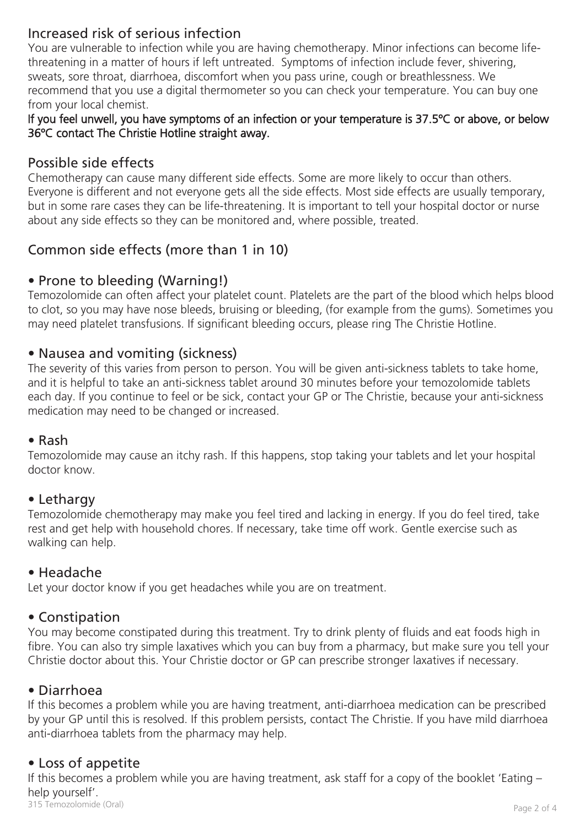# Increased risk of serious infection

You are vulnerable to infection while you are having chemotherapy. Minor infections can become lifethreatening in a matter of hours if left untreated. Symptoms of infection include fever, shivering, sweats, sore throat, diarrhoea, discomfort when you pass urine, cough or breathlessness. We recommend that you use a digital thermometer so you can check your temperature. You can buy one from your local chemist.

#### If you feel unwell, you have symptoms of an infection or your temperature is 37.5ºC or above, or below 36ºC contact The Christie Hotline straight away.

## Possible side effects

Chemotherapy can cause many different side effects. Some are more likely to occur than others. Everyone is different and not everyone gets all the side effects. Most side effects are usually temporary, but in some rare cases they can be life-threatening. It is important to tell your hospital doctor or nurse about any side effects so they can be monitored and, where possible, treated.

## Common side effects (more than 1 in 10)

## • Prone to bleeding (Warning!)

Temozolomide can often affect your platelet count. Platelets are the part of the blood which helps blood to clot, so you may have nose bleeds, bruising or bleeding, (for example from the gums). Sometimes you may need platelet transfusions. If significant bleeding occurs, please ring The Christie Hotline.

## • Nausea and vomiting (sickness)

The severity of this varies from person to person. You will be given anti-sickness tablets to take home, and it is helpful to take an anti-sickness tablet around 30 minutes before your temozolomide tablets each day. If you continue to feel or be sick, contact your GP or The Christie, because your anti-sickness medication may need to be changed or increased.

#### • Rash

Temozolomide may cause an itchy rash. If this happens, stop taking your tablets and let your hospital doctor know.

## • Lethargy

Temozolomide chemotherapy may make you feel tired and lacking in energy. If you do feel tired, take rest and get help with household chores. If necessary, take time off work. Gentle exercise such as walking can help.

## • Headache

Let your doctor know if you get headaches while you are on treatment.

## • Constipation

You may become constipated during this treatment. Try to drink plenty of fluids and eat foods high in fibre. You can also try simple laxatives which you can buy from a pharmacy, but make sure you tell your Christie doctor about this. Your Christie doctor or GP can prescribe stronger laxatives if necessary.

#### • Diarrhoea

If this becomes a problem while you are having treatment, anti-diarrhoea medication can be prescribed by your GP until this is resolved. If this problem persists, contact The Christie. If you have mild diarrhoea anti-diarrhoea tablets from the pharmacy may help.

## • Loss of appetite

315 Temozolomide (Oral) Page 2 of 4 If this becomes a problem while you are having treatment, ask staff for a copy of the booklet 'Eating – help yourself'.<br>315 Temozolomide (Oral)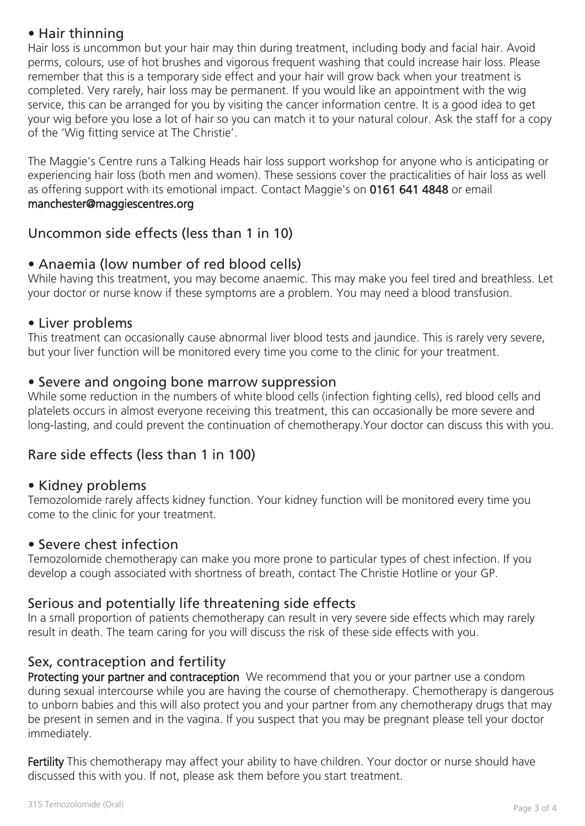## • Hair thinning

Hair loss is uncommon but your hair may thin during treatment, including body and facial hair. Avoid perms, colours, use of hot brushes and vigorous frequent washing that could increase hair loss. Please remember that this is a temporary side effect and your hair will grow back when your treatment is completed. Very rarely, hair loss may be permanent. If you would like an appointment with the wig service, this can be arranged for you by visiting the cancer information centre. It is a good idea to get your wig before you lose a lot of hair so you can match it to your natural colour. Ask the staff for a copy of the 'Wig fitting service at The Christie'.

The Maggie's Centre runs a Talking Heads hair loss support workshop for anyone who is anticipating or experiencing hair loss (both men and women). These sessions cover the practicalities of hair loss as well as offering support with its emotional impact. Contact Maggie's on 0161 641 4848 or email manchester@maggiescentres.org

## Uncommon side effects (less than 1 in 10)

## • Anaemia (low number of red blood cells)

While having this treatment, you may become anaemic. This may make you feel tired and breathless. Let your doctor or nurse know if these symptoms are a problem. You may need a blood transfusion.

## • Liver problems

This treatment can occasionally cause abnormal liver blood tests and jaundice. This is rarely very severe, but your liver function will be monitored every time you come to the clinic for your treatment.

## • Severe and ongoing bone marrow suppression

While some reduction in the numbers of white blood cells (infection fighting cells), red blood cells and platelets occurs in almost everyone receiving this treatment, this can occasionally be more severe and long-lasting, and could prevent the continuation of chemotherapy.Your doctor can discuss this with you.

## Rare side effects (less than 1 in 100)

## • Kidney problems

Temozolomide rarely affects kidney function. Your kidney function will be monitored every time you come to the clinic for your treatment.

## • Severe chest infection

Temozolomide chemotherapy can make you more prone to particular types of chest infection. If you develop a cough associated with shortness of breath, contact The Christie Hotline or your GP.

## Serious and potentially life threatening side effects

In a small proportion of patients chemotherapy can result in very severe side effects which may rarely result in death. The team caring for you will discuss the risk of these side effects with you.

## Sex, contraception and fertility

Protecting your partner and contraception We recommend that you or your partner use a condom during sexual intercourse while you are having the course of chemotherapy. Chemotherapy is dangerous to unborn babies and this will also protect you and your partner from any chemotherapy drugs that may be present in semen and in the vagina. If you suspect that you may be pregnant please tell your doctor immediately.

Fertility This chemotherapy may affect your ability to have children. Your doctor or nurse should have discussed this with you. If not, please ask them before you start treatment.